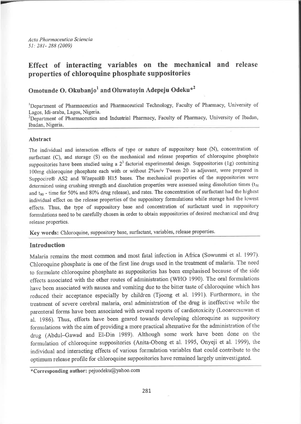Acta Pharmaceutica Sciencia 51: 281- 288 (2009)

# Effect of interacting variabıes on the mechanical and release properties of chloroquine phosphate suppositories

Omotunde O. Okubanjo<sup>1</sup> and Oluwatoyin Adepeju Odeku<sup>\*2</sup>

<sup>1</sup>Department of Pharmaceutics and Pharmaceutical Technology, Faculty of Pharmacy, University of Lagos, Idi-araba, Lagos, Nigeria.

<sup>2</sup>Department of Pharmaceutics and Industrial Pharmacy, Faculty of Pharmacy, University of Ibadan, Ibadan, Nigeria

# Abstract

The individual and interaction effects of type or nature of suppository base (N), concentration of surfactant (C), and storage (S) on the mechanical and release properties of chloroquine phosphate suppositories have been studied using a  $2<sup>3</sup>$  factorial experimental design. Suppositories (1g) containing 100mg chloroquine phosphate each with or without 2%w/v Tween 20 as adjuvant, were prepared in Suppocire@ AS2 and Witepsol@ Hl5 bases. The mechanical properties of the suppositories were determined using crushing strength and dissolution properties were assessed using dissolution times  $(t_{50}$ and  $t_{80}$  - time for 50% and 80% drug release), and rates. The concentration of surfactant had the highest individual effect on the release properties of the suppository formulations while storage had the lowest effects. Thus, the type of suppository base and concentration of surfactant used in suppository formulations need to be carefully chosen in order to obtain suppositories of desired mechanical and drug release properties.

Key words: Chloroquine, suppository base, surfactant, variables, release properties.

# Introduction

Malaria remains the most conımon and most fatal infection in Africa (Sowunmi et al. 1997). Chloroquine phosplıate is one of the first line drugs used in the treatment of malaria. The need to formulate chloroquine phosphate as suppositories has been emphasised because of the side effects associated with the other routes of administration (WHO 1990). The oral formulations have been associated with nausea and vomiting due to the bitter taste of chloroquine which has reduced their acceptance especially by children (Tjoeng et al. 1991). Furthermore, in the treatment of severe cerebral malaria, oral administration of the drug is ineffective while the parentera1 forms have been associated with several reports of cardiotoxicity (Looaıeesuwan et al. 1986). Thus, efforts have been geared towards developing chloroquine as suppository formulations with the aim of providing a more practical alternative for the administration of the drug (Abdul-Gawad and El-Din 1989). Although some work have been done on the formulation of chloroquine suppositories (Anita-Obong et al. 1995, Onyeji et al. 1999), the individual and interacting effects of various formulation variables that could contribute to the optimum release profile for chloroquine suppositories have remained largely uninvestigated.

\*Corresponding author: pejuodeku@yahoo. com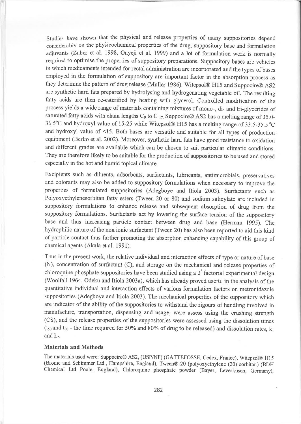Studies haye shown that the physical and release properties of many suppositories depend considerably on the physicochemical properties of the drug, suppository base and formulation adiuvants (Zuber et al. 1998, Onyeji et al. 1999) and a lot of formulation work is normally required to optimise the properties of suppository preparations. Suppository bases are vehicles in which medicaments intended for rectal administration are incorporated and the types of bases employed in the formulation of suppository are important factor in the absorption process as they determine the pattern of drug release (Muller 1936). Witepsol@ Hl5 and Suppocire@ AS2 are synthetic hard fats prepared by hydrolysing and hydrogenating vegetable oil. The resulting fatty acids are then re-esterified by heating with glycerol. Controlled modification of the process yields a wide range of materials containing mixtures of mono-, di- and tri-glycerides of saturated fatty acids with chain lengths C<sub>9</sub> to C<sub>17.</sub> Suppocire® AS2 has a melting range of 35.0-36.5"C and hydroxyl value of 15-25 while Witepsol@ Hl5 has a melting range of 33.5-35.5 "C and hydroxyl value of  $\leq$ 15. Both bases are versatile and suitable for all types of production equipment (Berko et al. 2002). Moreover, synthetic hard fats have good resistance to oxidation and different grades are available which can be chosen to suit particular climatic conditions. They are therefore likely to be suitable for the production of suppositories to be used and stored especially in the hot and humid topical climate.

Excipients such as diluents, adsorbents, surfactants, lubricants, antimicrobials, preservatives and colorants may also be added to suppository formulations when necessary to improve the properties of fornıulated suppositories (Adegboye and Itiola 2003). Surfactants suçh as Polyoxyethylenesorbitan fatty esters (Tween 20 or 80) and sodium salicylate are included in suppository formulations to enhance release and subsequent absorption of drug from the suppository formulations. Surfactants act by lowering the surface tension of the suppository base and thus increasing particle contact between drug and base (Herman 1995). The hydrophilic nature of the non ionic surfactant (Tween 20) has also been reported to aid this kind of particle contact thus further promoting the absorption enhancing capability of this group of chemical agents (Akala et al. 1991).

Thus in the present work, the relative individual and interaction effects of type or nature of base (N), concentration of surfactant (C), and storage on the mechanical and release properties of chloroquine phosphate suppositories have been studied using a  $2<sup>3</sup>$  factorial experimental design (Woolfall 1964, Odeku and Itiola 2003a), which has already proved useful in the analysis of the quantitative individual and interaction effects of various formulation factors on metronidazole suppositories (Adegboye and Itiola 2003). The mechanical properties of the suppository which are indicator of the ability of the suppositories to withstand the rigours of handling involved in manufacture, transportation, dispensing and usage, were assess using the crushing strength (CS), and the release properties of the suppositories were assessed using the dissolution times  $(t_{50}$  and  $t_{80}$  - the time required for 50% and 80% of drug to be released) and dissolution rates,  $k_1$ and  $k_2$ .

## Materials and Methods

The materials used were: Suppocire® AS2, (USP/NF) (GATTEFOSSE, Cedex, France), Witepsol® H15 (Brome and Schiınmer Ltd., Hampshire, England), Tween@ 20 (polyoxyethylene (20) sorbiian) (BDH Chemical Ltd Poole, England), Chloroquine phosphate powder (Bayer, Leverkusen, Germany),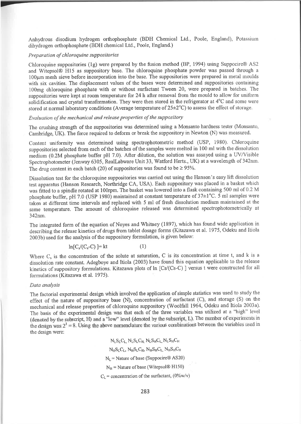Anhydrous disodium hydrogen orthophosphate (BDH Chemical Ltd., Poole, England), Potassium dihydrogen orthophosphate (BDH chemical Ltd., Poole, England.)

## Preparation of chloroquine suppositories

Chloroquine suppositories (lg) were prepared by the fusion method (BP, 1994) using Suppocire@ AS2 and Witepsol@ H15 as suppository base. The chloroquine phosphate powder was passed through <sup>a</sup> l00pın ınesh sieve before incorporation into the base. The suppositories were prepared in metal ııoulds with six cavities. The displacement values of the bases were determined and suppositories containing 100mg chloroquine phosphate with or without surfactant Tween 20, were prepared in batches. The suppositories were kept at room temperature for 24 h after removal from the mould to allow for uniform  $\frac{1}{2}$  solidification and crystal transformation. They were then stored in the refrigerator at  $4^{\circ}$ C and some were stored at normal laboratory conditions (Average temperature of  $25\pm2^{\circ}$ C) to assess the effect of storage.

## Evaluation of the mechanical and release properties of the suppository

The crushing strength of the suppositories was determined using a Monsanto hardness tester (Monsanto, Cambridge, UK). The force required to deform or break the suppository in Newton (N) was measured.

Content uniformity was determined using spectrophotometric method (USP, 1980). Chloroquine srıppositories selected from each of the batches of the samples were melted in l00 ml with the dissolution medium (0.2M phosphate buffer pH 7.0). After dilution, the solution was assayed using a UV/Visible Spectrophotometer (Jenway 6305, RealLabware Unit 33, Watford Herts., UK) at a wavelength of 342nm. The drug content in each batch (20) of suppositories was found to be  $\geq$  95%.

Dissolution test for the chloroquine suppositories was carried out using the Hanson's easy lift dissolution test apparatus (Hanson Research, Northridge CA, USA). Each suppository was placed in a basket which was fitted to a spindle rotated at 100rpm. The basket was lowered into a flask containing 500 ml of 0.2 M phosphate buffer, pH 7.0 (USP 1980) maintained at constant temperature of  $37\pm1^{\circ}$ C. 5 ml samples were taken at different time intervals and replaced with 5 ml of fresh dissolution medium maintained at the same temperature. The amount of chloroquine released was determined spectrophotometrically at 342nm.

The integrated form of the equation of Noyes and Whitney (1897), which has found wide application in describing the release kinetics of drugs from tablet dosage forms (Kitazawa et al. 1975, Odeku and Itiola 2003b) used for the analysis of the suppository formulation, is given below:

$$
\ln[C_s/(C_s-C)] = kt \tag{1}
$$

Where  $C_s$  is the concentration of the solute at saturation, C is its concentration at time t, and k is a dissolution rate constant. Adegboye and Itiola (2003) have found this equation applicable to the release kinetics of suppository formulations. Kitazawa plots of ln [Cs/(Cs-C) ] versus t were constructed for all formulations (Kitazawa et al. 1975).

#### Data analysis

The factorial experimental design which involved the application of simple statistics was used to study the effect of the nature of suppository base (N), concentration of surfactant (C), and storage (S) on the ınechanical and release properties of chloroquine suppository (Woolfall 1964, odeku and Itiola 2003a). The basis of the experimental design was that each of the three variables was utilized at a "high" level (denoted by the subscript, H) and a "low" level (denoted by the subscript, L). The number of experiments in the design was  $2<sup>3</sup> = 8$ . Using the above nomenclature the various combinations between the variables used in the design were:

> $N_1 S_I C_I$ ,  $N_I S_I C_H$ ,  $N_L S_H C_L$ ,  $N_L S_H C_H$  $N_HS_1C_1$ ,  $N_HS_1C_H$ ,  $N_HS_HC_L$ ,  $N_HS_HC_H$  $N_L$  = Nature of base (Suppocire® AS20)  $N_H$  = Nature of base (Witepsol® H150)  $C_L$  = concentration of the surfactant, (0%w/v)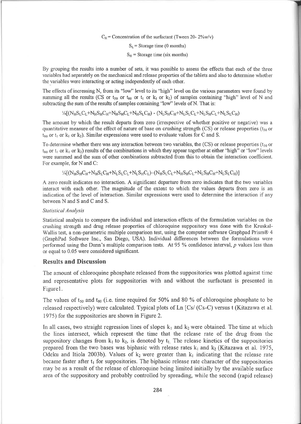$C_H$  = Concentration of the surfactant (Tween 20- 2%w/v)

 $S_1$  = Storage time (0 months)

 $S_H$  = Storage time (six months)

By grouping the results into a number of sets, it was possible to assess the effects that each of the three variables had separately on the mechanical and release properties of üe tablets and also to determine whether the variables were interacting or acting independently of each other.

The effects of increasing N, from its "low" level to its "high" level on the various parameters were found by summing all the results (CS or t<sub>50</sub> or t<sub>80</sub> or t<sub>i</sub> or k<sub>1</sub> or k<sub>2</sub>) of samples containing "high" level of N and subtracting the sum of the results of samples containing "low" levels of N. That is:

 $\frac{1}{4}$ [(N<sub>H</sub>S<sub>I</sub> C<sub>I</sub> +N<sub>H</sub>S<sub>H</sub>C<sub>H</sub>+N<sub>H</sub>S<sub>H</sub>C<sub>t</sub> +N<sub>H</sub>S<sub>I</sub> C<sub>H</sub>) - (N<sub>L</sub>S<sub>H</sub>C<sub>H</sub>+N<sub>I</sub> S<sub>I</sub> C<sub>I</sub> +N<sub>I</sub> S<sub>H</sub>C<sub>I</sub> +N<sub>I</sub> S<sub>I</sub> C<sub>H</sub>)

The amount by which the result departs from zero (irrespective of whether positive or negative) was a quantitative measure of the effect of nature of base on crushing strength (CS) or release properties ( $t_{50}$  or  $t_{80}$  or  $t_1$  or  $k_1$  or  $k_2$ ). Similar expressions were used to evaluate values for C and S.

To determine whether there was any interaction between two variables, the (CS) or release properties ( $t_{50}$  or  $t_{80}$  or  $t_1$  or  $k_1$  or  $k_2$ ) results of the combinations in which they appear together at either "high" or "low" levels were summed and the sum of other combinations subtracted from this to obtain the interaction coefficient. For example, for N and C:

 $\frac{1}{4}[(N_HS_HC_H+N_HS_LC_H+N_LS_LC_L+N_LS_HC_L)-(N_HS_LC_L+N_HS_HC_L+N_LS_HC_H+N_LS_LC_H)]$ 

A zero result indicates no interaction. A significant departure from zero indicates that the two variables interact with each other. The magnitude of the extent to which the values departs from zero is an indication of the level of interaction. Similar expressions were used to determine the interaction if any between N and S and C and S.

## Statistical Analysis

Statistical analysis to compare the individual and interaction effects of the formulation variables on the crushing strength and drug release properties of chloroquine srıppository was done with the Kruskal-Wallis test, a non-parametric multiple comparison test, using the computer software Graphpad Prism® 4 (GraphPad Software Inc., San Diego, USA). Individual differences between the formulations were performed using the Dunn's multiple comparison tests. At 95 % confidence interval,  $p$  values less than or equal to 0.05 were considered significant.

# Results and Discussion

The amount of chloroquine phosphate released from the suppositories was plotted against time and representative plots for suppositories with and without the surfactant is presented in Figurel.

The values of  $t_{50}$  and  $t_{80}$  (i.e. time required for 50% and 80 % of chloroquine phosphate to be released respectively) were calculated. Typical plots of Ln [Cs/ (Cs-C) versus t (Kitazawa et al. 1975) for the suppositories are shown in Figure 2.

In all cases, two straight regression lines of slopes  $k_1$  and  $k_2$  were obtained. The time at which the lines intersect, which represent the time that the release rate of the drug from the suppository changes from  $k_1$  to  $k_2$ , is denoted by  $t_1$ . The release kinetics of the suppositories prepared from the two bases was biphasic with release rates  $k_1$  and  $k_2$  (Kitazawa et al. 1975, Odeku and Itiola 2003b). Values of  $k_2$  were greater than  $k_1$  indicating that the release rate became faster after  $t_1$  for suppositories. The biphasic release rate character of the suppositories may be as a result of the release of chloroquine being limited initially by the available surface area of the suppository and probably controlled by spreading, while the second (rapid release)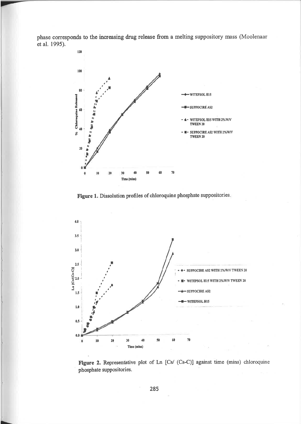phase corresponds to the increasing drug release from a melting suppository mass (Moolenaar et al. 1995).



Figure 1. Dissolution profiles of chloroquine phosphate suppositories.



Figure 2. Representative plot of Ln [Cs/ (Cs-C)] against time (mins) chloroquine phosphate suppositories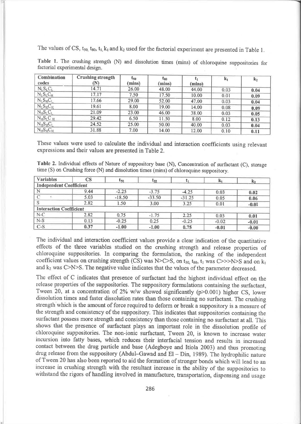The values of CS,  $t_{50}$ ,  $t_{80}$ ,  $t_1$ ,  $k_1$  and  $k_2$  used for the factorial experiment are presented in Table 1.

| Combination<br>codes | <b>Crushing strength</b><br>(N) | $\mathfrak{r}_{50}$<br>(mins) | $\mathbf{t}_{80}$<br>(mins) | (mins) | $\mathbf{k}_1$ | $k_2$ |
|----------------------|---------------------------------|-------------------------------|-----------------------------|--------|----------------|-------|
| $N_L S_L C_L$        | 14.71                           | 26.00                         | 48.00                       | 44.00  | 0.03           | 0.04  |
| $N_L S_L C_H$        | 17.17                           | 7.50                          | 17.50                       | 10.00  | 0.01           | 0.09  |
| $N_L S_H C_L$        | 17.66                           | 29.00                         | 52.00                       | 47.00  | 0.03           | 0.04  |
| $N_L S_H C_H$        | 19.61                           | 8.00                          | 19.00                       | 14.00  | 0.08           | 0.09  |
| $N_H S_L C_L$        | 21.09                           | 23.00                         | 46.00                       | 38.00  | 0.03           | 0.05  |
| $N_H S_L C_H$        | 29.42                           | 6.50                          | 11.50                       | 8.00   | 0.12           | 0.13  |
| $N_H S_H C_L$        | 24.52                           | 25.00                         | 50.00                       | 40.00  | 0.03           | 0.04  |
| $N_H S_H C_H$        | 31.88                           | 7.00                          | 14.00                       | 12.00  | 0.10           | 0.11  |

Table 1. The crushing strength (N) and dissolution times (mins) of chloroquine suppositories for factorial experimental desigrı.

These values were used to calculate the individual and interaction coefficients using relevant expressions and their values are presented in Table 2.

Table 2. Individual effects of Nature of suppository base (N), Concentration of surfactant (C), storage tiıne (S) on Crushing force (N) and dissolution times (mins) of chloroquine suppository.

| <b>Variables</b>               | $\overline{\text{CS}}$ | E50.     | $\mathfrak{r}_{80}$ |          |         |         |
|--------------------------------|------------------------|----------|---------------------|----------|---------|---------|
| <b>Independent Coefficient</b> |                        |          |                     |          |         |         |
|                                | 9.44                   | $-2.25$  | $-3.75$             | $-4.25$  | 0.03    | 0.02    |
|                                | 5.03                   | $-18.50$ | $-33.50$            | $-31.25$ | 0.05    | 0.06    |
|                                | 2.82                   | 1.50     | 3.00                | 3.25     | 0.01    | $-0.01$ |
| <b>Interaction Coefficient</b> |                        |          |                     |          |         |         |
| $N-C$                          | 2.82                   | 0.75     | $-1.75$             | 2.25     | 0.03    | 0.01    |
| $N-S$                          | 0.13                   | $-0.25$  | 0.25                | $-0.25$  | $-0.02$ | $-0.01$ |
| $C-S$                          | 0.37                   | $-1.00$  | $-1.00$             | 0.75     | $-0.01$ | $-0.00$ |

The individual and interaction coefficient values provide a clear indication of the quantitative effects of the three variables studied on the crushing strength and release properties of chloroquine suppositories. In comparing the formulation, the ranking of the independent coefficient values on crushing strength (CS) was N>C>S, on  $t_{50}$ ,  $t_{80}$ ,  $t_1$  was C>>>N>S and on k<sub>l</sub> and  $k_2$  was C $>$ N $>$ S. The negative value indicates that the values of the parameter decreased.

The effect of C indicates that presence of surfactant had the highest individual effect on the release properties of the suppositories. The suppository formulations containing the surfactant, Tween 20, at a concentration of 2% w/w showed significantly ( $p$  $>$ 0.001) higher CS, lower dissolution times and faster dissolution rates than those containing no surfactant. The crushing strength which is the amount of force required to deform or break a suppository is a measure of the strength and consistency of the suppository. This indicates that suppositories containing the surfactant possess more strength and consistency than those containing no surfactant at all. This shows that the presence of surfactant plays an important role in the dissolution profile of chloroquine suppositories. The non-ionic surfactant, Tween 20, is known to increase water incursion into fatty bases, which reduces their interfacial tension and results in increased contact between the drug particle and base (Adegboye and Itiola 2003) and thus promoting drug release from the suppository (Abdul-Gawad and El - Din, 1989). The hydrophilic nature of Tween 20 has also been reported to aid the formation of stronger bonds which will ıead to aır increase in crushing strength with the resultant increase in the ability of the suppositories to withstand the rigors of handling involved in manufacture, transportation, dispensing and usage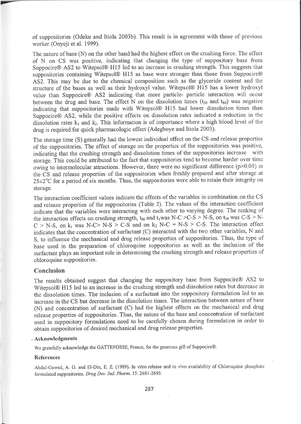of suppositories (Odeku and Itiola 2003b). This result is in agreement with those of previous worker (Onyeji et al. 1999).

The nature of base (N) on the other hand had the highest effect on the crushing force. The effect of N on CS was positive, indicating that changing the type of suppository base from Suppocire@ AS2 to Witepsol@ H15 led to an increase in crushing strength. This suggests that suppositories containing Witepsol@ H15 as base were stronger than those from Suppocire@ AS2. This may be due to the chemical composition such as the glyceride content and the structure of the bases as well as their hydroxyl value. Witepsol@ H15 has a lower hydroxyl value than Suppocire@ AS2 indicating that more paıticle- particle interaction will occur between the drug and base. The effect N on the dissolution times  $(t_{50}$  and  $t_{80})$  was negative indicating that suppositories made with Witepsol@ H15 had lower dissolution times than Suppocire@ AS2, while the positive effects on dissolution rates indicated a reduction in the dissolution rates  $k_1$  and  $k_2$ . This information is of importance where a high blood level of the drug is required for quick pharmacologic effect (Adegboye and Itiola 2003).

The storage time (S) generally had the lowest individual effect on the CS and release properties of the suppositories. The effect of storage on the properties of the suppositories was positive, indicating that the crushing strength and dissolution times of the suppositories increase with storage. This could be attributed to the fact that suppositories tend to become harder over time owing to intermolecular attractions. However, there were no significant difference (p>0.05) in the CS and release properties of the suppositories when freshly prepared and after storage at  $25\pm2\degree$ C for a period of six months. Thus, the suppositories were able to retain their integrity on storage.

The interaction coefficient values indicate the effects of the variables in combination on the CS and release properties of the suppositories (Table 2). The values of the interaction coefficient indicate that the variables were interacting with each other to varying degree. The ranking of the interaction effects on crushing strength,  $t_{80}$  and  $t_1$ was N-C >C-S > N-S, on  $t_{50}$  was C-S > N- $C > N-S$ , on k<sub>1</sub> was N-C> N-S > C-S and on k<sub>2</sub> N-C = N-S > C-S. The interaction effect indicates that the concentration of surfactant (C) interacted with the two other variables, N and S, to influence the mechanical and drug release properties of suppositories. Thus, the type of base used in the preparation of chloroquine suppositories as well as the inclusion of the surfactant plays an important role in determining the crushing strength and release properties of chloroquine suppositories.

## Conclusion

The results obtained suggest that changing the suppository base from Suppocire@ AS2 to Witepsol@ H15 led to an increase in the crushing strength and dissolution rates but decrease in the dissolution times. The inclusion of a surfactant into the suppository formulation led to an increase in the CS but decrease in the dissolution times. The interaction between nature of base (N) and concentration of surfactant (C) had the highest effects on the mechanical and drug release properties of suppositories. Thus, the nature of the base and concentration of surfactant used in suppository formulations need to be carefully chosen during formulation in order to obtaiıı suppositories of desired mechanical and drug release properties.

## Acknowledgments

We gratefully acknowledge the GATTEFOSSE, France, for the generous gift of Suppocire@.

## References

Abdul-Gawad, A. G. and El-Din, E. Z. (1989).. In vitro release and in vivo availability of Chloroquine phosphate formulated suppositories. Drug Dev. Ind. Pharm. 15: 2681-2693.